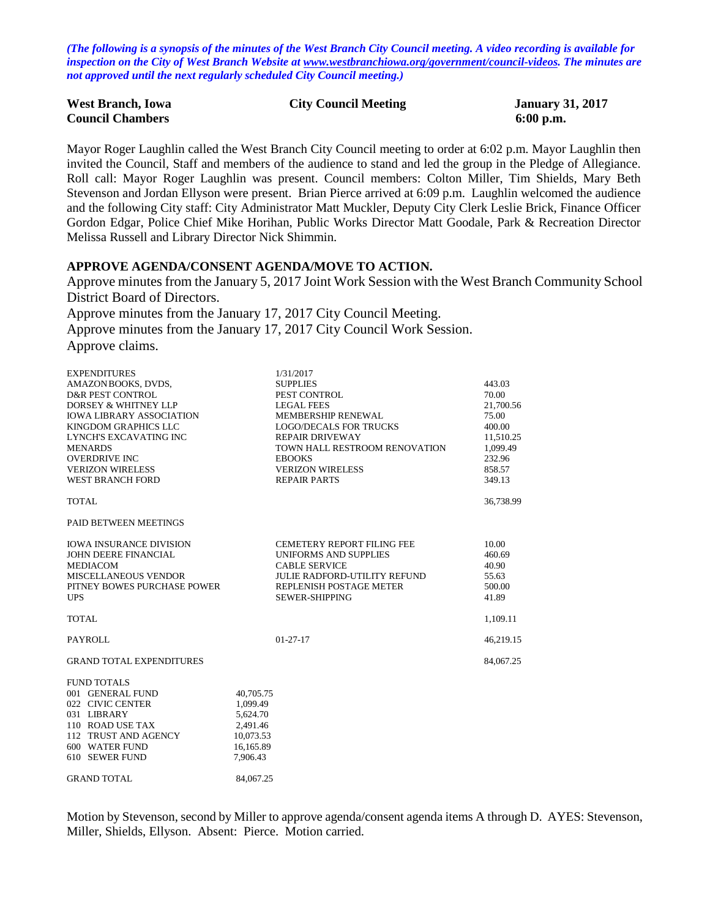*(The following is a synopsis of the minutes of the West Branch City Council meeting. A video recording is available for inspection on the City of West Branch Website at [www.westbranchiowa.org/government/council-videos.](http://www.westbranchiowa.org/government/council-videos) The minutes are not approved until the next regularly scheduled City Council meeting.)*

| <b>West Branch, Iowa</b> | <b>City Council Meeting</b> | <b>January 31, 2017</b> |
|--------------------------|-----------------------------|-------------------------|
| <b>Council Chambers</b>  |                             | $6:00$ p.m.             |

Mayor Roger Laughlin called the West Branch City Council meeting to order at 6:02 p.m. Mayor Laughlin then invited the Council, Staff and members of the audience to stand and led the group in the Pledge of Allegiance. Roll call: Mayor Roger Laughlin was present. Council members: Colton Miller, Tim Shields, Mary Beth Stevenson and Jordan Ellyson were present. Brian Pierce arrived at 6:09 p.m. Laughlin welcomed the audience and the following City staff: City Administrator Matt Muckler, Deputy City Clerk Leslie Brick, Finance Officer Gordon Edgar, Police Chief Mike Horihan, Public Works Director Matt Goodale, Park & Recreation Director Melissa Russell and Library Director Nick Shimmin.

#### **APPROVE AGENDA/CONSENT AGENDA/MOVE TO ACTION.**

Approve minutes from the January 5, 2017 Joint Work Session with the West Branch Community School District Board of Directors.

Approve minutes from the January 17, 2017 City Council Meeting.

Approve minutes from the January 17, 2017 City Council Work Session. Approve claims.

| <b>EXPENDITURES</b>             |           | 1/31/2017                           |           |
|---------------------------------|-----------|-------------------------------------|-----------|
| AMAZONBOOKS, DVDS,              |           | <b>SUPPLIES</b>                     | 443.03    |
| <b>D&amp;R PEST CONTROL</b>     |           | PEST CONTROL                        | 70.00     |
| DORSEY & WHITNEY LLP            |           | <b>LEGAL FEES</b>                   | 21,700.56 |
| <b>IOWA LIBRARY ASSOCIATION</b> |           | MEMBERSHIP RENEWAL                  | 75.00     |
| KINGDOM GRAPHICS LLC            |           | <b>LOGO/DECALS FOR TRUCKS</b>       | 400.00    |
| <b>LYNCH'S EXCAVATING INC</b>   |           | <b>REPAIR DRIVEWAY</b>              | 11,510.25 |
| <b>MENARDS</b>                  |           | TOWN HALL RESTROOM RENOVATION       | 1.099.49  |
| <b>OVERDRIVE INC</b>            |           | <b>EBOOKS</b>                       | 232.96    |
| <b>VERIZON WIRELESS</b>         |           | <b>VERIZON WIRELESS</b>             | 858.57    |
| <b>WEST BRANCH FORD</b>         |           | <b>REPAIR PARTS</b>                 | 349.13    |
| <b>TOTAL</b>                    |           |                                     | 36,738.99 |
| <b>PAID BETWEEN MEETINGS</b>    |           |                                     |           |
| <b>IOWA INSURANCE DIVISION</b>  |           | <b>CEMETERY REPORT FILING FEE</b>   | 10.00     |
| <b>JOHN DEERE FINANCIAL</b>     |           | <b>UNIFORMS AND SUPPLIES</b>        | 460.69    |
| <b>MEDIACOM</b>                 |           | <b>CABLE SERVICE</b>                | 40.90     |
| MISCELLANEOUS VENDOR            |           | <b>JULIE RADFORD-UTILITY REFUND</b> | 55.63     |
| PITNEY BOWES PURCHASE POWER     |           | REPLENISH POSTAGE METER             | 500.00    |
| <b>UPS</b>                      |           | SEWER-SHIPPING                      | 41.89     |
| TOTAL                           |           |                                     | 1,109.11  |
| <b>PAYROLL</b>                  |           | $01 - 27 - 17$                      | 46,219.15 |
| <b>GRAND TOTAL EXPENDITURES</b> |           |                                     | 84,067.25 |
| <b>FUND TOTALS</b>              |           |                                     |           |
| 001 GENERAL FUND                | 40,705.75 |                                     |           |
| 022 CIVIC CENTER                | 1,099.49  |                                     |           |
| 031 LIBRARY                     | 5,624.70  |                                     |           |
| 110 ROAD USE TAX                | 2,491.46  |                                     |           |
| 112 TRUST AND AGENCY            | 10,073.53 |                                     |           |
| 600 WATER FUND                  | 16,165.89 |                                     |           |
| 610 SEWER FUND                  | 7.906.43  |                                     |           |
| <b>GRAND TOTAL</b>              | 84.067.25 |                                     |           |

Motion by Stevenson, second by Miller to approve agenda/consent agenda items A through D. AYES: Stevenson, Miller, Shields, Ellyson. Absent: Pierce. Motion carried.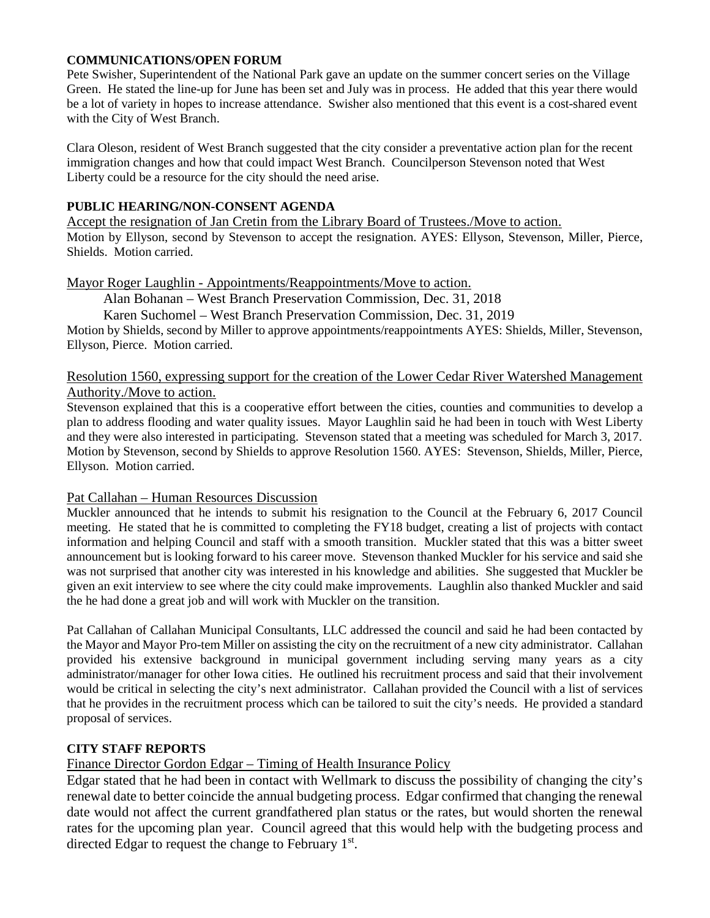#### **COMMUNICATIONS/OPEN FORUM**

Pete Swisher, Superintendent of the National Park gave an update on the summer concert series on the Village Green. He stated the line-up for June has been set and July was in process. He added that this year there would be a lot of variety in hopes to increase attendance. Swisher also mentioned that this event is a cost-shared event with the City of West Branch.

Clara Oleson, resident of West Branch suggested that the city consider a preventative action plan for the recent immigration changes and how that could impact West Branch. Councilperson Stevenson noted that West Liberty could be a resource for the city should the need arise.

#### **PUBLIC HEARING/NON-CONSENT AGENDA**

Accept the resignation of Jan Cretin from the Library Board of Trustees./Move to action. Motion by Ellyson, second by Stevenson to accept the resignation. AYES: Ellyson, Stevenson, Miller, Pierce, Shields. Motion carried.

## Mayor Roger Laughlin - Appointments/Reappointments/Move to action.

Alan Bohanan – West Branch Preservation Commission, Dec. 31, 2018

Karen Suchomel – West Branch Preservation Commission, Dec. 31, 2019

Motion by Shields, second by Miller to approve appointments/reappointments AYES: Shields, Miller, Stevenson, Ellyson, Pierce. Motion carried.

#### Resolution 1560, expressing support for the creation of the Lower Cedar River Watershed Management Authority./Move to action.

Stevenson explained that this is a cooperative effort between the cities, counties and communities to develop a plan to address flooding and water quality issues. Mayor Laughlin said he had been in touch with West Liberty and they were also interested in participating. Stevenson stated that a meeting was scheduled for March 3, 2017. Motion by Stevenson, second by Shields to approve Resolution 1560. AYES: Stevenson, Shields, Miller, Pierce, Ellyson. Motion carried.

#### Pat Callahan – Human Resources Discussion

Muckler announced that he intends to submit his resignation to the Council at the February 6, 2017 Council meeting. He stated that he is committed to completing the FY18 budget, creating a list of projects with contact information and helping Council and staff with a smooth transition. Muckler stated that this was a bitter sweet announcement but is looking forward to his career move. Stevenson thanked Muckler for his service and said she was not surprised that another city was interested in his knowledge and abilities. She suggested that Muckler be given an exit interview to see where the city could make improvements. Laughlin also thanked Muckler and said the he had done a great job and will work with Muckler on the transition.

Pat Callahan of Callahan Municipal Consultants, LLC addressed the council and said he had been contacted by the Mayor and Mayor Pro-tem Miller on assisting the city on the recruitment of a new city administrator. Callahan provided his extensive background in municipal government including serving many years as a city administrator/manager for other Iowa cities. He outlined his recruitment process and said that their involvement would be critical in selecting the city's next administrator. Callahan provided the Council with a list of services that he provides in the recruitment process which can be tailored to suit the city's needs. He provided a standard proposal of services.

## **CITY STAFF REPORTS**

## Finance Director Gordon Edgar – Timing of Health Insurance Policy

Edgar stated that he had been in contact with Wellmark to discuss the possibility of changing the city's renewal date to better coincide the annual budgeting process. Edgar confirmed that changing the renewal date would not affect the current grandfathered plan status or the rates, but would shorten the renewal rates for the upcoming plan year. Council agreed that this would help with the budgeting process and directed Edgar to request the change to February  $1<sup>st</sup>$ .